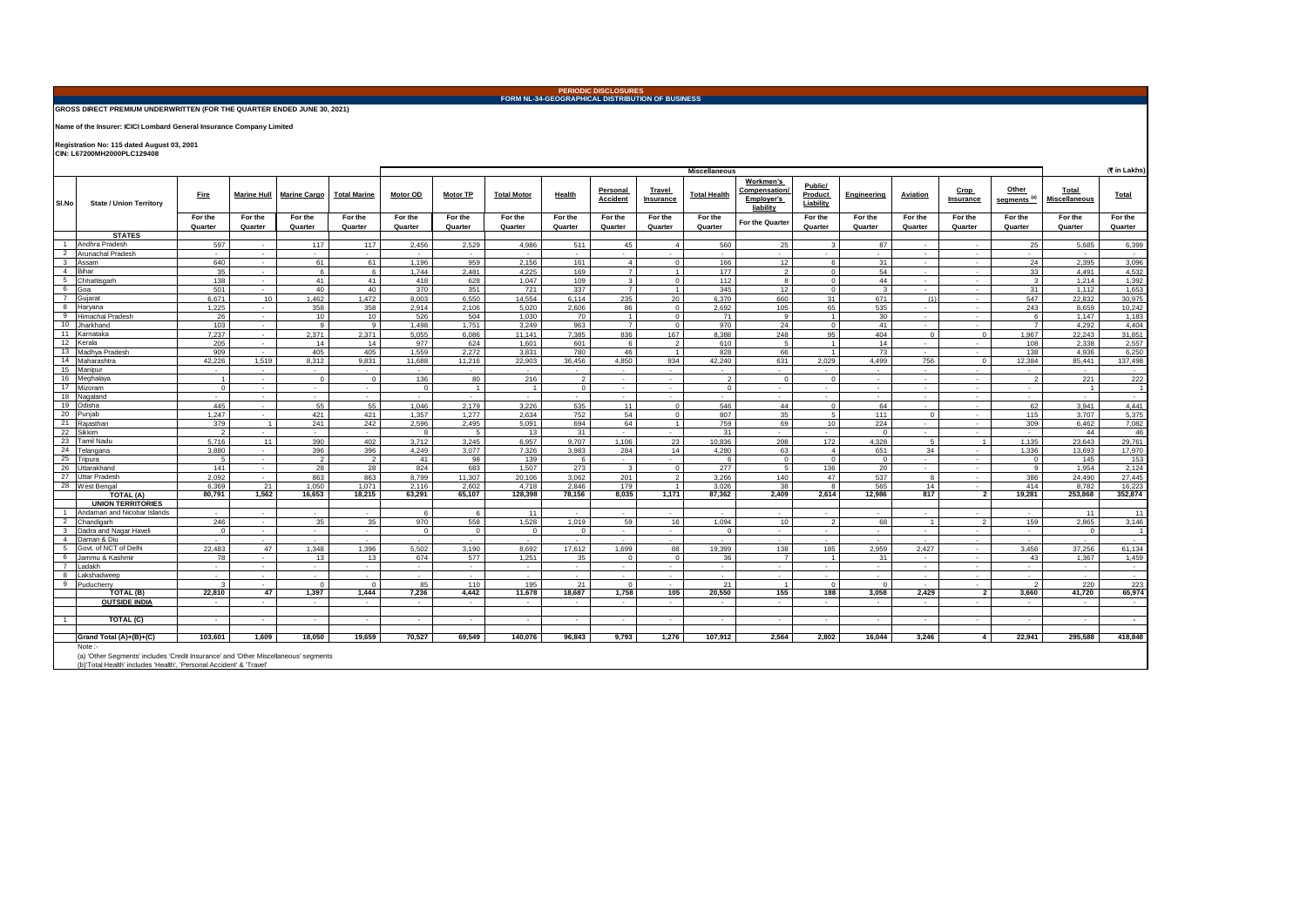# **PERIODIC DISCLOSURES FORM NL-34-GEOGRAPHICAL DISTRIBUTION OF BUSINESS**

#### **GROSS DIRECT PREMIUM UNDERWRITTEN (FOR THE QUARTER ENDED JUNE 30, 2021)**

**Name of the Insurer: ICICI Lombard General Insurance Company Limited**

**Registration No: 115 dated August 03, 2001 CIN: L67200MH2000PLC129408** 

(` **in Lakhs) Fire Marine Hull Marine Cargo Total Marine Motor OD Motor TP Total Motor Health Personal Accident Travel Insurance Total Health Workmen's**  Compensation **Employer's liability Public/ Product Liability Engineering Aviation Crop Insurance Other segments (a) Total Miscellaneous Total For the Quarter For the Quarter For the Quarter For the Quarter For the Quarter For the Quarter For the Quarter For the Quarter For the Quarter For the Quarter For the Quarter For the Quarter For the Quarter For the Quarter For the Quarter For the Quarter For the Quarter For the Quarter For the Quarter STATES**<br>1 Andhra Pradesh 1 |Andhra Pradesh | 597 - | 117 | 117 | 2,456 | 2,529 | 4,986 | 511 | 45 | 4 | 560 | 25 | 3 | 87 | - | - | 25 | 5,685 6,399 2 Arunachal Pradesh - - - - - - - - - - - - - - - - - - - 3 Assam 640 - 61 61 1,196 959 2,156 161 4 0 166 12 6 31 - - 24 2,395 3,096 4 |Bihar 6 | 6 | 1,744 | 2,481 | 4,225 | 169 | 7 | 1 | 177 | 2 | 0 | 54 | - | 33 | 4,491 | 4,532 5 Chhattisgarh | 138 | - | 41 | 41 | 418 | 628 | 1,047 | 109 | 3 | 0 | 112 | 8 | 0 | 44 | - | - | 3 | 1,214 | 1,392 6 Goa 501 - 40 40 370 351 721 337 7 1 345 12 0 3 - - 31 1,112 1,653 7 Gujarat 6,671 10 1,462 1,472 8,003 6,550 14,554 6,114 235 20 6,370 660 31 671 (1) - 547 22,832 30,975 8 Haryana 1,225 - 358 358 2,914 2,106 5,020 2,606 86 0 2,692 105 65 535 - - 243 8,659 10,242 9 |Himachal Pradesh | 26 - | 10 | 10 | 526 | 504 | 1,030 | 70 | 1 | 0 | 71 | 9 | 1 | 30 - | - | 6 | 1,147 | 1,183 10 Jharkhand 103 | - | 9 | 9 | 1,498 | 1,751 | 3,249 | 963 | 7 | 970 | 24 | 0 | 41 | - | -1 | 4,292 | 4,404 11 Karnataka 7,237 - 2,371 2,371 5,055 6,086 11,141 7,385 836 167 8,388 248 95 404 0 0 1,967 22,243 31,851 12 Kerala 205 - 14 14 977 624 1,601 601 6 2 610 5 1 14 - - 108 2,338 2,557 13 Madhya Pradesh | 909 - | 405 | 405 | 1,559 2,272 | 3,831 780 | 46 | 1 828 66 1 | 73 | | 138 | 4,936 6,250 14 Maharashtra 42,226 1,519 8,312 9,831 11,688 11,216 22,903 36,456 4,850 934 42,240 631 2,029 4,499 756 0 12,384 85,441 137,498 15 Manipur - - - - - - - - - - - - - - - - - - - 16 Meghalaya | 1 - 0 0 0 136 80 216 2 - 1 - 2 0 0 0 - - - 2 221 222 17 Mizoram 0 - - - 0 1 1 0 - - 0 - - - - - - 1 1 18 Nagaland - - - - - - - - - - - - - - - - - - - 19 Odisha 445 - 55 55 1,046 2,179 3,226 535 11 0 546 44 0 64 - - 62 3,941 4,441 20 Punjab 1,247 - 421 421 1,357 1,277 2,634 752 54 0 807 35 5 111 0 - 115 3,707 5,375 21 Rajasthan 379 | 1 | 241 | 242 | 2,596 | 2,495 | 694 | 64 | 1 | 759 | 69 | 10 | 224 | - | - | 309 | 6,462 | 7,082 22 Sikkim | 2 - | - | 8 5 | 13 31 - | - | 31 - | - | 0 - | - | - | 44 46 23 Tamil Nadu 5,716 11 390 402 3,712 3,245 6,957 9,707 1,106 23 10,836 208 172 4,328 5 1 1,135 23,643 29,761 24 Telangana 3,880 - 396 396 4,249 3,077 7,326 3,983 284 14 4,280 63 4 651 34 - 1,336 13,693 17,970 25 Tripura 5 - 2 2 41 98 139 6 - - 6 0 0 0 - - 0 145 153 26 Uttarakhand 141 - 28 28 824 683 1,507 273 3 0 277 5 136 20 - - 9 1,954 2,124 27 Uttar Pradesh 2,092 - 863 863 8,799 11,307 20,106 3,062 201 2 3,266 140 47 537 8 - 386 24,490 27,445 28 West Bengal 6,369 21 1,050 1,071 2,116 2,602 4,718 2,846 179 1 3,026 38 8 565 14 - 414 8,782 16,223 **TOTAL (A) 80,791 1,562 16,653 18,215 63,291 65,107 128,398 78,156 8,035 1,171 87,362 2,409 2,614 12,986 817 2 19,281 253,868 352,874 UNION TERRITORIES**<br>1 **Andaman and Nicobar Islands** 1 Andaman and Nicobar Islands - - - - 6 6 11 - - - - - - - - - - 11 11 2 Chandigarh 246 | - | 35 | 35 | 370 | 558 | 1,528 | 1,019 | 59 | 16 | 1,094 | 10 | 2 | 68 | 1 | 2 | 159 | 2,865 3,146 3 Dadra and Nagar Haveli 0 - - - 0 0 0 0 - - 0 - - - - - - 0 1 4 Daman & Diu - - - - - - - - - - - - - - - - - - - 5 Govt.of NCT of Delhi | 22,483 | 47 | 1,348 | 1,396 | 5,502 | 3,190 | 8,692 | 17,612 | 1,699 | 88 | 19,399 | 138 | 185 | 2,959 | 2,427 | - | 3,456 | 37,256 | 61,134 6 Jammu& Kashmir | 78 - | 13 | 13 | 674 | 577 | 1,251 | 35 0 | 0 | 36 | 7 | 1 | 31 | - | - | 43 | 1,367 | 1,459 7 Ladakh - - - - - - - - - - - - - - - - - - - 8 Lakshadweep - - - - - - - - - - - - - - - - - - - 9 Puducherry | 3 | - | 0 | 0 | 85 | 110 | 195 | 21 | 0 | - | 1 | 0 | 0 | - | 2 | 220 | 223 **TOTAL (B) 22,810 47 1,397 1,444 7,236 4,442 11,678 18,687 1,758 105 20,550 155 188 3,058 2,429 2 3,660 41,720 65,974 OUTSIDE INDIA** - - - - - - - - - - - - - - - - - - - 1 **TOTAL (C)** - - - - - - - - - - - - - - - - - - **- Grand Total (A)+(B)+(C) 103,601 1,609 18,050 19,659 70,527 69,549 140,076 96,843 9,793 1,276 107,912 2,564 2,802 16,044 3,246 4 22,941 295,588 418,848** (a) 'Other Segments' includes 'Credit Insurance' and 'Other Miscellaneous' segments Note **Miscellaneous Sl.No State / Union Territory**

(b)'Total Health' includes 'Health', 'Personal Accident' & 'Travel'